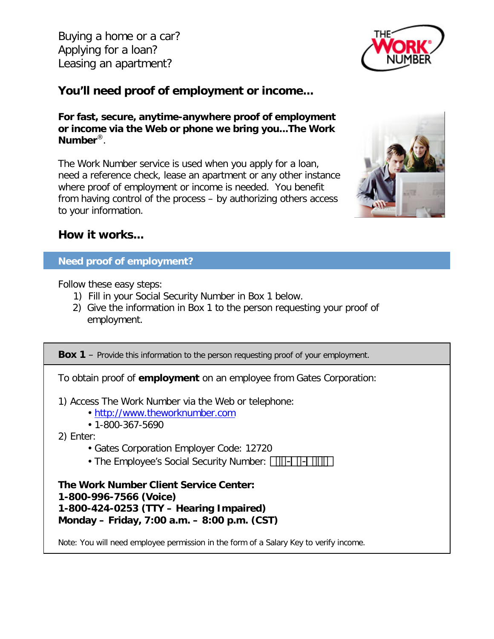Buying a home or a car? Applying for a loan? Leasing an apartment?



# **You'll need proof of employment or income...**

**For fast, secure, anytime-anywhere proof of employment or income via the Web or phone we bring you...The Work Number**®.

The Work Number service is used when you apply for a loan, need a reference check, lease an apartment or any other instance where proof of employment or income is needed. You benefit from having control of the process – by authorizing others access to your information.



## **How it works...**

### **Need proof of employment?**

Follow these easy steps:

- 1) Fill in your Social Security Number in Box 1 below.
- 2) Give the information in Box 1 to the person requesting your proof of employment.

**Box 1** – Provide this information to the person requesting proof of your employment.

To obtain proof of **employment** on an employee from Gates Corporation:

1) Access The Work Number via the Web or telephone:

- [http://www.theworknumber.com](http://www.theworknumber.com/)
- 1-800-367-5690
- 2) Enter:
	- Gates Corporation Employer Code: 12720
	- The Employee's Social Security Number:  $\Box$  $\Box$

**The Work Number Client Service Center: 1-800-996-7566 (Voice) 1-800-424-0253 (TTY – Hearing Impaired) Monday – Friday, 7:00 a.m. – 8:00 p.m. (CST)**

Note: You will need employee permission in the form of a Salary Key to verify income.